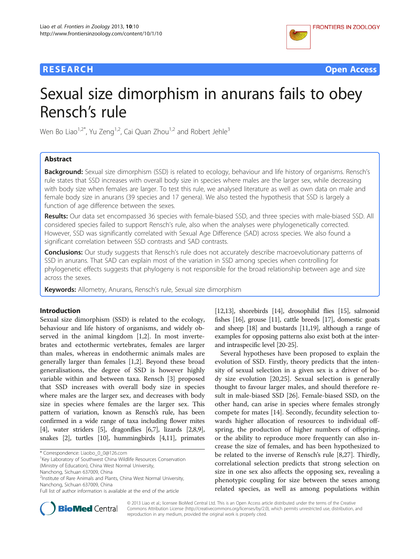# **RESEARCH CHE Open Access**



# Sexual size dimorphism in anurans fails to obey Rensch's rule

Wen Bo Liao<sup>1,2\*</sup>, Yu Zeng<sup>1,2</sup>, Cai Quan Zhou<sup>1,2</sup> and Robert Jehle<sup>3</sup>

# Abstract

Background: Sexual size dimorphism (SSD) is related to ecology, behaviour and life history of organisms. Rensch's rule states that SSD increases with overall body size in species where males are the larger sex, while decreasing with body size when females are larger. To test this rule, we analysed literature as well as own data on male and female body size in anurans (39 species and 17 genera). We also tested the hypothesis that SSD is largely a function of age difference between the sexes.

Results: Our data set encompassed 36 species with female-biased SSD, and three species with male-biased SSD. All considered species failed to support Rensch's rule, also when the analyses were phylogenetically corrected. However, SSD was significantly correlated with Sexual Age Difference (SAD) across species. We also found a significant correlation between SSD contrasts and SAD contrasts.

**Conclusions:** Our study suggests that Rensch's rule does not accurately describe macroevolutionary patterns of SSD in anurans. That SAD can explain most of the variation in SSD among species when controlling for phylogenetic effects suggests that phylogeny is not responsible for the broad relationship between age and size across the sexes.

Keywords: Allometry, Anurans, Rensch's rule, Sexual size dimorphism

# Introduction

Sexual size dimorphism (SSD) is related to the ecology, behaviour and life history of organisms, and widely observed in the animal kingdom [[1,2\]](#page-5-0). In most invertebrates and ectothermic vertebrates, females are larger than males, whereas in endothermic animals males are generally larger than females [[1](#page-5-0),[2\]](#page-5-0). Beyond these broad generalisations, the degree of SSD is however highly variable within and between taxa. Rensch [\[3](#page-5-0)] proposed that SSD increases with overall body size in species where males are the larger sex, and decreases with body size in species where females are the larger sex. This pattern of variation, known as Rensch's rule, has been confirmed in a wide range of taxa including flower mites [[4](#page-5-0)], water striders [[5](#page-5-0)], dragonflies [\[6,7](#page-5-0)], lizards [\[2,8,9](#page-5-0)], snakes [[2](#page-5-0)], turtles [\[10\]](#page-5-0), hummingbirds [\[4,11](#page-5-0)], primates

\* Correspondence: [Liaobo\\_0\\_0@126.com](mailto:Liaobo_0_0@126.com) <sup>1</sup>

<sup>1</sup> Key Laboratory of Southwest China Wildlife Resources Conservation (Ministry of Education), China West Normal University,

Nanchong, Sichuan 637009, China

[[12,13\]](#page-5-0), shorebirds [[14](#page-5-0)], drosophilid flies [[15\]](#page-5-0), salmonid fishes [\[16\]](#page-5-0), grouse [\[11\]](#page-5-0), cattle breeds [\[17\]](#page-5-0), domestic goats and sheep [[18](#page-5-0)] and bustards [\[11,19](#page-5-0)], although a range of examples for opposing patterns also exist both at the interand intraspecific level [\[20-25\]](#page-5-0).

Several hypotheses have been proposed to explain the evolution of SSD. Firstly, theory predicts that the intensity of sexual selection in a given sex is a driver of body size evolution [[20,25\]](#page-5-0). Sexual selection is generally thought to favour larger males, and should therefore result in male-biased SSD [[26](#page-5-0)]. Female-biased SSD, on the other hand, can arise in species where females strongly compete for mates [\[14](#page-5-0)]. Secondly, fecundity selection towards higher allocation of resources to individual offspring, the production of higher numbers of offspring, or the ability to reproduce more frequently can also increase the size of females, and has been hypothesized to be related to the inverse of Rensch's rule [[8,27\]](#page-5-0). Thirdly, correlational selection predicts that strong selection on size in one sex also affects the opposing sex, revealing a phenotypic coupling for size between the sexes among related species, as well as among populations within



© 2013 Liao et al.; licensee BioMed Central Ltd. This is an Open Access article distributed under the terms of the Creative Commons Attribution License [\(http://creativecommons.org/licenses/by/2.0\)](http://creativecommons.org/licenses/by/2.0), which permits unrestricted use, distribution, and reproduction in any medium, provided the original work is properly cited.

<sup>2</sup> Institute of Rare Animals and Plants, China West Normal University, Nanchong, Sichuan 637009, China

Full list of author information is available at the end of the article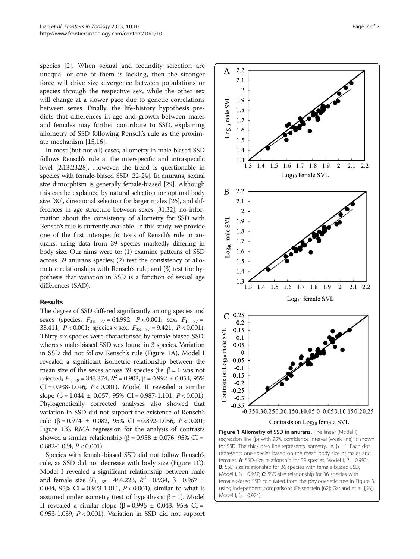species [\[2](#page-5-0)]. When sexual and fecundity selection are unequal or one of them is lacking, then the stronger force will drive size divergence between populations or species through the respective sex, while the other sex will change at a slower pace due to genetic correlations between sexes. Finally, the life-history hypothesis predicts that differences in age and growth between males and females may further contribute to SSD, explaining allometry of SSD following Rensch's rule as the proximate mechanism [\[15,16](#page-5-0)].

In most (but not all) cases, allometry in male-biased SSD follows Rensch's rule at the interspecific and intraspecific level [\[2,13,23,28\]](#page-5-0). However, the trend is questionable in species with female-biased SSD [\[22-24\]](#page-5-0). In anurans, sexual size dimorphism is generally female-biased [\[29\]](#page-5-0). Although this can be explained by natural selection for optimal body size [[30](#page-5-0)], directional selection for larger males [\[26\]](#page-5-0), and differences in age structure between sexes [\[31,32](#page-5-0)], no information about the consistency of allometry for SSD with Rensch's rule is currently available. In this study, we provide one of the first interspecific tests of Rensch's rule in anurans, using data from 39 species markedly differing in body size. Our aims were to: (1) examine patterns of SSD across 39 anurans species; (2) test the consistency of allometric relationships with Rensch's rule; and (3) test the hypothesis that variation in SSD is a function of sexual age differences (SAD).

### Results

The degree of SSD differed significantly among species and sexes (species,  $F_{38, 77} = 64.992$ ,  $P < 0.001$ ; sex,  $F_{1, 77} =$ 38.411,  $P < 0.001$ ; species  $\times$  sex,  $F_{38, 77} = 9.421$ ,  $P < 0.001$ ). Thirty-six species were characterised by female-biased SSD, whereas male-biased SSD was found in 3 species. Variation in SSD did not follow Rensch's rule (Figure 1A). Model I revealed a significant isometric relationship between the mean size of the sexes across 39 species (i.e.  $β = 1$  was not rejected;  $F_{1, 38}$  = 343.374,  $R^2$  = 0.903, β = 0.992 ± 0.054, 95%  $CI = 0.938 - 1.046$ ,  $P < 0.001$ ). Model II revealed a similar slope ( $\beta$  = 1.044 ± 0.057, 95% CI = 0.987-1.101, P < 0.001). Phylogenetically corrected analyses also showed that variation in SSD did not support the existence of Rensch's rule (β = 0.974  $\pm$  0.082, 95% CI = 0.892-1.056, P < 0.001; Figure 1B). RMA regression for the analysis of contrasts showed a similar relationship (β = 0.958  $\pm$  0.076, 95% CI = 0.882-1.034,  $P < 0.001$ ).

Species with female-biased SSD did not follow Rensch's rule, as SSD did not decrease with body size (Figure 1C). Model I revealed a significant relationship between male and female size  $(F_1, 35 = 484.223, R^2 = 0.934, \beta = 0.967 \pm 0.967$ 0.044, 95% CI = 0.923-1.011,  $P < 0.001$ ), similar to what is assumed under isometry (test of hypothesis:  $β = 1$ ). Model II revealed a similar slope (β = 0.996  $\pm$  0.043, 95% CI = 0.953-1.039,  $P < 0.001$ ). Variation in SSD did not support

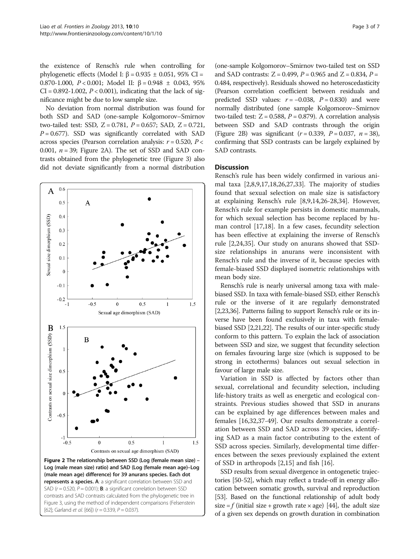the existence of Rensch's rule when controlling for phylogenetic effects (Model I: β = 0.935  $\pm$  0.051, 95% CI = 0.870-1.000,  $P < 0.001$ ; Model II: β = 0.948 ± 0.043, 95%  $CI = 0.892 - 1.002$ ,  $P < 0.001$ ), indicating that the lack of significance might be due to low sample size.

No deviation from normal distribution was found for both SSD and SAD (one-sample Kolgomorov–Smirnov two-tailed test: SSD,  $Z = 0.781$ ,  $P = 0.657$ ; SAD,  $Z = 0.721$ ,  $P = 0.677$ ). SSD was significantly correlated with SAD across species (Pearson correlation analysis:  $r = 0.520$ ,  $P <$ 0.001,  $n = 39$ ; Figure 2A). The set of SSD and SAD contrasts obtained from the phylogenetic tree (Figure [3](#page-3-0)) also did not deviate significantly from a normal distribution



(one-sample Kolgomorov–Smirnov two-tailed test on SSD and SAD contrasts:  $Z = 0.499$ ,  $P = 0.965$  and  $Z = 0.834$ ,  $P =$ 0.484, respectively). Residuals showed no heteroscedasticity (Pearson correlation coefficient between residuals and predicted SSD values:  $r = -0.038$ ,  $P = 0.830$ ) and were normally distributed (one sample Kolgomorov–Smirnov two-tailed test:  $Z = 0.588$ ,  $P = 0.879$ ). A correlation analysis

between SSD and SAD contrasts through the origin (Figure 2B) was significant  $(r = 0.339, P = 0.037, n = 38)$ , confirming that SSD contrasts can be largely explained by SAD contrasts.

# **Discussion**

Rensch's rule has been widely confirmed in various animal taxa [\[2,8,9,17,18,26,27,33](#page-5-0)]. The majority of studies found that sexual selection on male size is satisfactory at explaining Rensch's rule [[8,9,14,26-28,34\]](#page-5-0). However, Rensch's rule for example persists in domestic mammals, for which sexual selection has become replaced by human control [\[17,18](#page-5-0)]. In a few cases, fecundity selection has been effective at explaining the inverse of Rensch's rule [[2,24,35\]](#page-5-0). Our study on anurans showed that SSDsize relationships in anurans were inconsistent with Rensch's rule and the inverse of it, because species with female-biased SSD displayed isometric relationships with mean body size.

Rensch's rule is nearly universal among taxa with malebiased SSD. In taxa with female-biased SSD, either Rensch's rule or the inverse of it are regularly demonstrated [[2,23,36\]](#page-5-0). Patterns failing to support Rensch's rule or its inverse have been found exclusively in taxa with femalebiased SSD [[2,21,22](#page-5-0)]. The results of our inter-specific study conform to this pattern. To explain the lack of association between SSD and size, we suggest that fecundity selection on females favouring large size (which is supposed to be strong in ectotherms) balances out sexual selection in favour of large male size.

Variation in SSD is affected by factors other than sexual, correlational and fecundity selection, including life-history traits as well as energetic and ecological constraints. Previous studies showed that SSD in anurans can be explained by age differences between males and females [\[16,32,37-49](#page-5-0)]. Our results demonstrate a correlation between SSD and SAD across 39 species, identifying SAD as a main factor contributing to the extent of SSD across species. Similarly, developmental time differences between the sexes previously explained the extent of SSD in arthropods [\[2](#page-5-0),[15](#page-5-0)] and fish [\[16\]](#page-5-0).

SSD results from sexual divergence in ontogenetic trajectories [[50](#page-5-0)-[52](#page-5-0)], which may reflect a trade-off in energy allocation between somatic growth, survival and reproduction [[53](#page-5-0)]. Based on the functional relationship of adult body size = f (initial size + growth rate  $\times$  age) [\[44\]](#page-5-0), the adult size of a given sex depends on growth duration in combination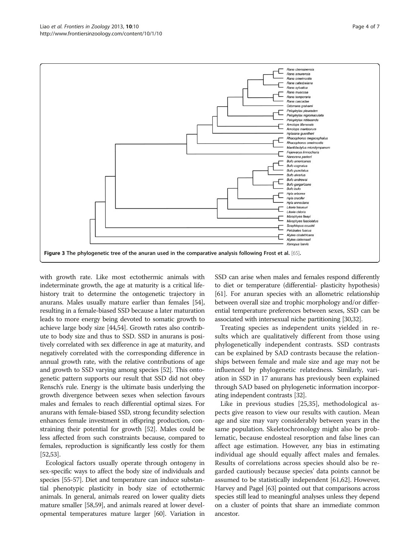<span id="page-3-0"></span>

with growth rate. Like most ectothermic animals with indeterminate growth, the age at maturity is a critical lifehistory trait to determine the ontogenetic trajectory in anurans. Males usually mature earlier than females [\[54](#page-5-0)], resulting in a female-biased SSD because a later maturation leads to more energy being devoted to somatic growth to achieve large body size [[44,54\]](#page-5-0). Growth rates also contribute to body size and thus to SSD. SSD in anurans is positively correlated with sex difference in age at maturity, and negatively correlated with the corresponding difference in annual growth rate, with the relative contributions of age and growth to SSD varying among species [\[52](#page-5-0)]. This ontogenetic pattern supports our result that SSD did not obey Rensch's rule. Energy is the ultimate basis underlying the growth divergence between sexes when selection favours males and females to reach differential optimal sizes. For anurans with female-biased SSD, strong fecundity selection enhances female investment in offspring production, constraining their potential for growth [\[52\]](#page-5-0). Males could be less affected from such constraints because, compared to females, reproduction is significantly less costly for them [[52,53\]](#page-5-0).

Ecological factors usually operate through ontogeny in sex-specific ways to affect the body size of individuals and species [\[55](#page-5-0)[-57\]](#page-6-0). Diet and temperature can induce substantial phenotypic plasticity in body size of ectothermic animals. In general, animals reared on lower quality diets mature smaller [[58,59\]](#page-6-0), and animals reared at lower developmental temperatures mature larger [\[60\]](#page-6-0). Variation in SSD can arise when males and females respond differently to diet or temperature (differential- plasticity hypothesis) [[61](#page-6-0)]. For anuran species with an allometric relationship between overall size and trophic morphology and/or differential temperature preferences between sexes, SSD can be associated with intersexual niche partitioning [\[30,32](#page-5-0)].

Treating species as independent units yielded in results which are qualitatively different from those using phylogenetically independent contrasts. SSD contrasts can be explained by SAD contrasts because the relationships between female and male size and age may not be influenced by phylogenetic relatedness. Similarly, variation in SSD in 17 anurans has previously been explained through SAD based on phylogenetic information incorporating independent contrasts [\[32\]](#page-5-0).

Like in previous studies [[25,35\]](#page-5-0), methodological aspects give reason to view our results with caution. Mean age and size may vary considerably between years in the same population. Skeletochronology might also be problematic, because endosteal resorption and false lines can affect age estimation. However, any bias in estimating individual age should equally affect males and females. Results of correlations across species should also be regarded cautiously because species' data points cannot be assumed to be statistically independent [[61,62\]](#page-6-0). However, Harvey and Pagel [[63](#page-6-0)] pointed out that comparisons across species still lead to meaningful analyses unless they depend on a cluster of points that share an immediate common ancestor.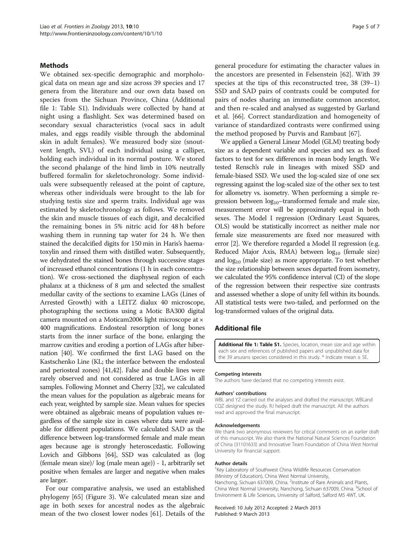## **Methods**

We obtained sex-specific demographic and morphological data on mean age and size across 39 species and 17 genera from the literature and our own data based on species from the Sichuan Province, China (Additional file 1: Table S1). Individuals were collected by hand at night using a flashlight. Sex was determined based on secondary sexual characteristics (vocal sacs in adult males, and eggs readily visible through the abdominal skin in adult females). We measured body size (snoutvent length, SVL) of each individual using a calliper, holding each individual in its normal posture. We stored the second phalange of the hind limb in 10% neutrally buffered formalin for skeletochronology. Some individuals were subsequently released at the point of capture, whereas other individuals were brought to the lab for studying testis size and sperm traits. Individual age was estimated by skeletochronology as follows. We removed the skin and muscle tissues of each digit, and decalcified the remaining bones in 5% nitric acid for 48 h before washing them in running tap water for 24 h. We then stained the decalcified digits for 150 min in Haris's haematoxylin and rinsed them with distilled water. Subsequently, we dehydrated the stained bones through successive stages of increased ethanol concentrations (1 h in each concentration). We cross-sectioned the diaphyseal region of each phalanx at a thickness of 8 μm and selected the smallest medullar cavity of the sections to examine LAGs (Lines of Arrested Growth) with a LEITZ dialux 40 microscope, photographing the sections using a Motic BA300 digital camera mounted on a Moticam2006 light microscope at × 400 magnifications. Endosteal resorption of long bones starts from the inner surface of the bone, enlarging the marrow cavities and eroding a portion of LAGs after hibernation [[40](#page-5-0)]. We confirmed the first LAG based on the Kastschenko Line (KL; the interface between the endosteal and periosteal zones) [\[41,42](#page-5-0)]. False and double lines were rarely observed and not considered as true LAGs in all samples. Following Monnet and Cherry [[32](#page-5-0)], we calculated the mean values for the population as algebraic means for each year, weighted by sample size. Mean values for species were obtained as algebraic means of population values regardless of the sample size in cases where data were available for different populations. We calculated SAD as the difference between log-transformed female and male mean ages because age is strongly heteroscedastic. Following Lovich and Gibbons [\[64\]](#page-6-0), SSD was calculated as (log (female mean size)/ log (male mean age)) - 1, arbitrarily set positive when females are larger and negative when males are larger.

For our comparative analysis, we used an established phylogeny [\[65\]](#page-6-0) (Figure [3](#page-3-0)). We calculated mean size and age in both sexes for ancestral nodes as the algebraic mean of the two closest lower nodes [\[61\]](#page-6-0). Details of the general procedure for estimating the character values in the ancestors are presented in Felsenstein [[62](#page-6-0)]. With 39 species at the tips of this reconstructed tree, 38 (39–1) SSD and SAD pairs of contrasts could be computed for pairs of nodes sharing an immediate common ancestor, and then re-scaled and analysed as suggested by Garland et al. [[66\]](#page-6-0). Correct standardization and homogeneity of variance of standardized contrasts were confirmed using the method proposed by Purvis and Rambaut [\[67](#page-6-0)].

We applied a General Linear Model (GLM) treating body size as a dependent variable and species and sex as fixed factors to test for sex differences in mean body length. We tested Rensch's rule in lineages with mixed SSD and female-biased SSD. We used the log-scaled size of one sex regressing against the log-scaled size of the other sex to test for allometry vs. isometry. When performing a simple regression between  $log_{10}$ -transformed female and male size, measurement error will be approximately equal in both sexes. The Model I regression (Ordinary Least Squares, OLS) would be statistically incorrect as neither male nor female size measurements are fixed nor measured with error [\[2](#page-5-0)]. We therefore regarded a Model II regression (e.g. Reduced Major Axis, RMA) between  $log_{10}$  (female size) and  $log_{10}$  (male size) as more appropriate. To test whether the size relationship between sexes departed from isometry, we calculated the 95% confidence interval (CI) of the slope of the regression between their respective size contrasts and assessed whether a slope of unity fell within its bounds. All statistical tests were two-tailed, and performed on the log-transformed values of the original data.

# Additional file

[Additional file 1: Table S1.](http://www.biomedcentral.com/content/supplementary/1742-9994-10-10-S1.doc) Species, location, mean size and age within each sex and references of published papers and unpublished data for the 39 anurans species considered in this study.  $*$  indicate mean  $\pm$  SE.

#### Competing interests

The authors have declared that no competing interests exist.

#### Authors' contributions

WBL and YZ carried out the analyses and drafted the manuscript. WBLand CQZ designed the study. RJ helped draft the manuscript. All the authors read and approved the final manuscript.

#### Acknowledgements

We thank two anonymous reviewers for critical comments on an earlier draft of this manuscript. We also thank the National Natural Sciences Foundation of China (31101633) and Innovative Team Foundation of China West Normal University for financial support.

#### Author details

<sup>1</sup> Key Laboratory of Southwest China Wildlife Resources Conservation (Ministry of Education), China West Normal University, Nanchong, Sichuan 637009, China. <sup>2</sup>Institute of Rare Animals and Plants, China West Normal University, Nanchong, Sichuan 637009, China. <sup>3</sup>School of Environment & Life Sciences, University of Salford, Salford M5 4WT, UK.

#### Received: 10 July 2012 Accepted: 2 March 2013 Published: 9 March 2013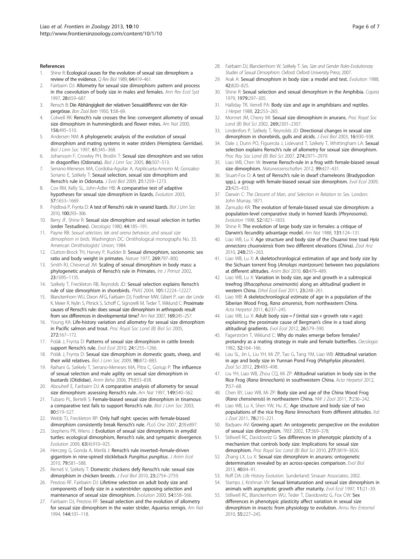#### <span id="page-5-0"></span>References

- Shine R: Ecological causes for the evolution of sexual size dimorphism: a review of the evidence. Q Rev Biol 1989, 64:419–461.
- Fairbairn DJ: Allometry for sexual size dimorphism: pattern and process in the coevolution of body size in males and females. Ann Rev Ecol Syst 1997, 28:659–687.
- 3. Rensch B: Die Abhängigkeit der relativen Sexualdifferenz von der Körpergrösse. Bon Zool Beitr 1950, 1:58–69.
- 4. Colwell RK: Rensch's rule crosses the line: convergent allometry of sexual size dimorphism in hummingbirds and flower mites. Am Nat 2000, 156:495–510.
- Andersen NM: A phylogenetic analysis of the evolution of sexual dimorphism and mating systems in water striders (Hemiptera: Gerridae). Biol J Linn Soc 1997, 61:345–368.
- 6. Johansson F, Crowley PH, Brodin T: Sexual size dimorphism and sex ratios in dragonflies (Odonata). Biol J Linn Soc 2005, 86:507–513.
- 7. Serrano-Meneses MA, Cordoba-Aguilar A, Azpilicueta-Amorin M, Gonzalez-Soriano E, Székely T: Sexual selection, sexual size dimorphism and Rensch's rule in Odonata. J Evol Biol 2009, 21:1259–1273.
- Cox RM, Kelly SL, John-Adler HB: A comparative test of adaptive hypotheses for sexual size dimorphism in lizards. Evolution 2003, 57:1653–1669.
- 9. Frýdlová P, Frynta D: A test of Rensch's rule in varanid lizards. Biol J Linn Soc 2010, 100:293–306.
- 10. Berry JF, Shine R: Sexual size dimorphism and sexual selection in turtles (order Testudines). Oecologia 1980, 44:185–191.
- 11. Payne RB: Sexual selection, lek and arena behavior, and sexual size dimorphism in birds. Washington DC: Ornithological monographs No. 33. American Ornithologists' Union; 1984.
- 12. Clutton-Brock TH, Harvey P, Rudder B: Sexual dimorphism, socionomic sex ratio and body weight in primates. Nature 1977, 269:797–800.
- 13. Smith RJ, Cheverud JM: Scaling of sexual dimorphism in body mass: a phylogenetic analysis of Rensch's rule in Primates. Int J Primat 2002, 23:1095–1135.
- 14. Székely T, Freckleton RB, Reynolds JD: Sexual selection explains Rensch's rule of size dimorphism in shorebirds. PNAS 2004, 101:12224–12227.
- 15. Blanckenhorn WU, Dixon AFG, Fairbairn DJ, Foellmer MW, Gibert P, van der Linde K, Meier R, Nylin S, Pitnick S, Schoff C, Signorelli M, Teder T, Wiklund C: Proximate causes of Rensch's rule: does sexual size dimorphism in arthropods result from sex differences in developmental time? Am Nat 2007, 169:245–257.
- 16. Young KA: Life-history variation and allometry for sexual size dimorphism in Pacific salmon and trout. Proc Royal Soc Lond (B) Biol Sci 2005, 272:167–172.
- 17. Polák J, Frynta D: Patterns of sexual size dimorphism in cattle breeds support Rensch's rule. Evol Ecol 2010, 24:1255–1266.
- 18. Polák J, Frynta D: Sexual size dimorphism in domestic goats, sheep, and their wild relatives. Biol J Linn Soc 2009, 98:872-883.
- 19. Raihani G, Székely T, Serrano-Meneses MA, Pitra C, Goriup P: The influence of sexual selection and male agility on sexual size dimorphism in bustards (Otididae). Anim Beha 2006, 71:833–838.
- 20. Abouheif E, Fairbairn DJ: A comparative analysis of allometry for sexual size dimorphism: assessing Rensch's rule. Am Nat 1997, 149:540–562.
- 21. Tubaro PL, Bertelli S: Female-biased sexual size dimorphism in tinamous: a comparative test fails to support Rensch's rule. Biol J Linn Soc 2003, 80:519–527.
- 22. Webb TJ, Freckleton RP: Only half right: species with female-biased dimorphism consistently break Rensch's rule. PLoS One 2007, 2(9):e897.
- 23. Stephens PR, Wiens J: Evolution of sexual size dimorphisms in emydid turtles: ecological dimorphism, Rensch's rule, and sympatric divergence. Evolution 2009, 63(4):910–925.
- 24. Herczeg G, Gonda A, Merilä J: Rensch's rule inverted-female-driven gigantism in nine-spined stickleback Pungitius pungitius. J Anim Ecol 2010, 79:581–588.
- 25. Remeš V, Székely T: Domestic chickens defy Rensch's rule: sexual size dimorphism in chicken breeds. J Evol Biol 2010, 23:2754–2759.
- 26. Preziosi RF, Fairbairn DJ: Lifetime selection on adult body size and components of body size in a waterstrider: opposing selection and maintenance of sexual size dimorphism. Evolution 2000, 54:558–566.
- 27. Fairbairn DJ, Preziosi RF: Sexual selection and the evolution of allometry for sexual size dimorphism in the water strider, Aquarius remigis. Am Nat 1994, 144:101–118.
- 28. Fairbairn DJ, Blanckenhorn W, Székely T: Sex, Size and Gender Roles-Evolutionary Studies of Sexual Dimorphism. Oxford: Oxford University Press; 2007.
- 29. Arak A: Sexual dimorphism in body size: a model and test. Evolution 1988, 42:820–825.
- 30. Shine R: Sexual selection and sexual dimorphism in the Amphibia. Copeia 1979, 1979:297–305.
- 31. Halliday TR, Verrell PA: Body size and age in amphibians and reptiles. J Herpet 1988, 22:253-265.
- 32. Monnet JM, Cherry MI: Sexual size dimorphism in anurans. Proc Royal Soc Lond (B) Biol Sci 2002, 269:2301–2307.
- 33. Lindenfors P, Székely T, Reynolds JD: Directional changes in sexual size dimorphism in shorebirds, gulls and alcids. J Evol Biol 2003, 16:930-938.
- 34. Dale J, Dunn PO, Figuerola J, Lislevand T, Székely T, Whittingham LA: Sexual selection explains Rensch's rule of allometry for sexual size dimorphism. Proc Roy Soc Lond (B) Biol Sci 2007, 274:2971-2979.
- 35. Liao WB, Chen W: Inverse Rensch-rule in a frog with female-biased sexual size dimorphism. Naturwissenschaften 2012, 99:427–431.
- 36. Stuart-Fox D: A test of Rensch's rule in dwarf chameleons (Bradypodion spp.), a group with female-biased sexual size dimorphism. Evol Ecol 2009, 23:425–433.
- 37. Darwin C: The Descent of Man, and Selection in Relation to Sex. London: John Murray; 1871.
- 38. Zamudio KR: The evolution of female-biased sexual size dimorphism: a population-level comparative study in horned lizards (Phrynosoma). Evolution 1998, 52:1821–1833.
- Shine R: The evolution of large body size in females: a critique of Darwin's fecundity advantage model. Am Nat 1988, 131:124–131.
- 40. Liao WB, Lu X: Age structure and body size of the Chuanxi tree toad Hyla annectans chuanxiensis from two different elevations (China). Zool Anz 2010, 248:255–263.
- 41. Liao WB, Lu X: A skeletochronlogical estimation of age and body size by the Sichuan torrent frog (Amolops mantzorum) between two populations at different altitudes. Anim Biol 2010, 60:479–489.
- 42. Liao WB, Lu X: Variation in body size, age and growth in a subtropical treefrog (Rhacophorus omeimontis) along an altitudinal gradient in western China. Ethol Ecol Evol 2011, 23:248–261.
- 43. Liao WB: A skeletochronlogical estimate of age in a population of the Siberian Wood Frog, Rana amurensis, from northeastern China. Acta Herpetol 2011, 6:237–245.
- 44. Liao WB, Lu X: Adult body size =  $f$  (initial size + growth rate  $\times$  age): explaining the proximate cause of Bergman's cline in a toad along altitudinal gradients. Evol Ecol 2012, 26:579–590.
- 45. Fagerström T, Wiklund C: Why do males emerge before females? protandry as a mating strategy in male and female butterflies. Oecologia 1982, 52:164–166.
- 46. Lou SL, Jin L, Liu YH, Mi ZP, Tao G, Tang YM, Liao WB: Altitudinal variation in age and body size in Yunnan Pond Frog (Pelophylax pleuraden). Zool Sci 2012, 29:493–498.
- 47. Liu YH, Liao WB, Zhou CQ, Mi ZP: Altitudinal variation in body size in the Rice Frog (Rana limnocharis) in southwestern China. Acta Herpetol 2012, 7:57–68.
- 48. Chen BY, Liao WB, Mi ZP: Body size and age of the China Wood Frog (Rana chensinensis) in northeastern China. NW J Zool 2011, 7:236–242.
- 49. Liao WB, Lu X, Shen YW, Hu JC: Age structure and body size of two populations of the rice frog Rana limnocharis from different altitudes. Ital J Zool 2011, 78:215–221.
- 50. Badyaev AV: Growing apart: An ontogenetic perspective on the evolution of sexual size dimorphism. TREE 2002, 17:369–378.
- 51. Stillwell RC, Davidowitz G: Sex differences in phenotypic plasticity of a mechanism that controls body size: Implications for sexual size dimorphism. Proc Royal Soc Lond (B) Biol Sci 2010, 277:3819–3826.
- 52. Zhang LX, Lu X: Sexual size dimorphism in anurans: ontogenetic determination revealed by an across-species comparison. Evol Biol 2013, 40:84–91.
- 53. Roff DA: Life History Evolution. Sunderland: Sinauer Associates; 2002.
- 54. Stamps J, Krishnan W: Sexual bimaturation and sexual size dimorphism in animals with asymptotic growth after maturity. Evol Ecol 1997, 11:21-39.
- Stillwell RC, Blanckenhorn WU, Teder T, Davidowitz G, Fox CW: Sex differences in phenotypic plasticity affect variation in sexual size dimorphism in insects: from physiology to evolution. Annu Rev Entomol 2010, 55:227–245.